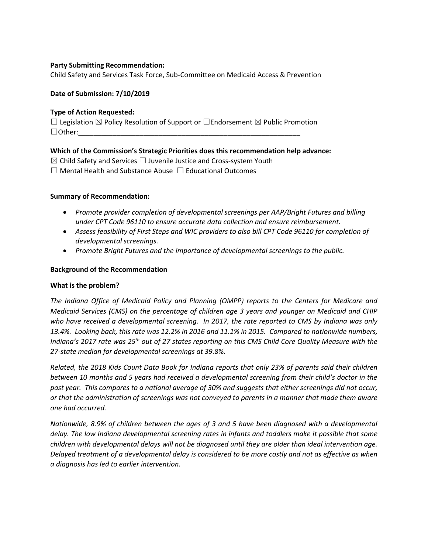### **Party Submitting Recommendation:**

Child Safety and Services Task Force, Sub-Committee on Medicaid Access & Prevention

#### **Date of Submission: 7/10/2019**

#### **Type of Action Requested:**

 $\Box$  Legislation  $\boxtimes$  Policy Resolution of Support or  $\Box$  Endorsement  $\boxtimes$  Public Promotion ☐Other:\_\_\_\_\_\_\_\_\_\_\_\_\_\_\_\_\_\_\_\_\_\_\_\_\_\_\_\_\_\_\_\_\_\_\_\_\_\_\_\_\_\_\_\_\_\_\_\_\_\_\_\_\_\_\_\_\_\_

#### **Which of the Commission's Strategic Priorities does this recommendation help advance:**

 $\boxtimes$  Child Safety and Services  $\Box$  Juvenile Justice and Cross-system Youth

☐ Mental Health and Substance Abuse ☐ Educational Outcomes

#### **Summary of Recommendation:**

- *Promote provider completion of developmental screenings per AAP/Bright Futures and billing under CPT Code 96110 to ensure accurate data collection and ensure reimbursement.*
- *Assess feasibility of First Steps and WIC providers to also bill CPT Code 96110 for completion of developmental screenings.*
- *Promote Bright Futures and the importance of developmental screenings to the public.*

#### **Background of the Recommendation**

#### **What is the problem?**

*The Indiana Office of Medicaid Policy and Planning (OMPP) reports to the Centers for Medicare and Medicaid Services (CMS) on the percentage of children age 3 years and younger on Medicaid and CHIP who have received a developmental screening. In 2017, the rate reported to CMS by Indiana was only 13.4%. Looking back, this rate was 12.2% in 2016 and 11.1% in 2015. Compared to nationwide numbers, Indiana's 2017 rate was 25th out of 27 states reporting on this CMS Child Core Quality Measure with the 27-state median for developmental screenings at 39.8%.*

*Related, the 2018 Kids Count Data Book for Indiana reports that only 23% of parents said their children between 10 months and 5 years had received a developmental screening from their child's doctor in the past year. This compares to a national average of 30% and suggests that either screenings did not occur, or that the administration of screenings was not conveyed to parents in a manner that made them aware one had occurred.*

*Nationwide, 8.9% of children between the ages of 3 and 5 have been diagnosed with a developmental delay. The low Indiana developmental screening rates in infants and toddlers make it possible that some children with developmental delays will not be diagnosed until they are older than ideal intervention age. Delayed treatment of a developmental delay is considered to be more costly and not as effective as when a diagnosis has led to earlier intervention.*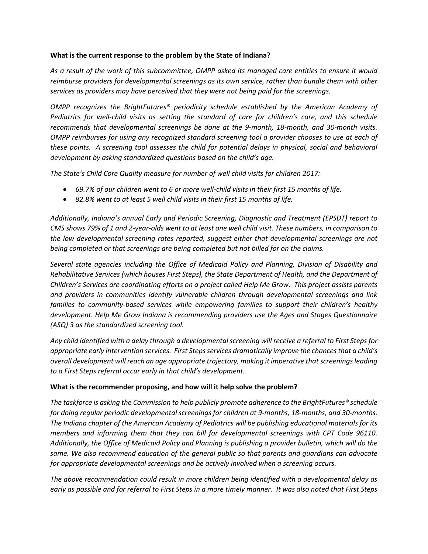#### **What is the current response to the problem by the State of Indiana?**

*As a result of the work of this subcommittee, OMPP asked its managed care entities to ensure it would reimburse providers for developmental screenings as its own service, rather than bundle them with other services as providers may have perceived that they were not being paid for the screenings.*

*OMPP recognizes the BrightFutures® periodicity schedule established by the American Academy of Pediatrics for well-child visits as setting the standard of care for children's care, and this schedule recommends that developmental screenings be done at the 9-month, 18-month, and 30-month visits. OMPP reimburses for using any recognized standard screening tool a provider chooses to use at each of these points. A screening tool assesses the child for potential delays in physical, social and behavioral development by asking standardized questions based on the child's age.*

*The State's Child Core Quality measure for number of well child visits for children 2017:* 

- *69.7% of our children went to 6 or more well-child visits in their first 15 months of life.*
- *82.8% went to at least 5 well child visits in their first 15 months of life.*

*Additionally, Indiana's annual Early and Periodic Screening, Diagnostic and Treatment (EPSDT) report to CMS shows 79% of 1 and 2-year-olds went to at least one well child visit. These numbers, in comparison to the low developmental screening rates reported, suggest either that developmental screenings are not being completed or that screenings are being completed but not billed for on the claims.* 

*Several state agencies including the Office of Medicaid Policy and Planning, Division of Disability and Rehabilitative Services (which houses First Steps), the State Department of Health, and the Department of Children's Services are coordinating efforts on a project called Help Me Grow. This project assists parents and providers in communities identify vulnerable children through developmental screenings and link families to community-based services while empowering families to support their children's healthy development. Help Me Grow Indiana is recommending providers use the Ages and Stages Questionnaire (ASQ) 3 as the standardized screening tool.*

*Any child identified with a delay through a developmental screening will receive a referral to First Steps for appropriate early intervention services. First Steps services dramatically improve the chances that a child's overall development will reach an age appropriate trajectory, making it imperative that screenings leading to a First Steps referral occur early in that child's development.*

### **What is the recommender proposing, and how will it help solve the problem?**

*The taskforce is asking the Commission to help publicly promote adherence to the BrightFutures® schedule for doing regular periodic developmental screenings for children at 9-months, 18-months, and 30-months. The Indiana chapter of the American Academy of Pediatrics will be publishing educational materials for its members and informing them that they can bill for developmental screenings with CPT Code 96110. Additionally, the Office of Medicaid Policy and Planning is publishing a provider bulletin, which will do the same. We also recommend education of the general public so that parents and guardians can advocate for appropriate developmental screenings and be actively involved when a screening occurs.*

*The above recommendation could result in more children being identified with a developmental delay as early as possible and for referral to First Steps in a more timely manner. It was also noted that First Steps*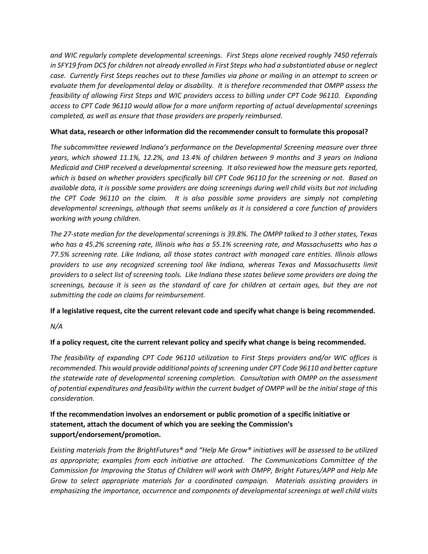*and WIC regularly complete developmental screenings. First Steps alone received roughly 7450 referrals in SFY19 from DCS for children not already enrolled in First Steps who had a substantiated abuse or neglect case. Currently First Steps reaches out to these families via phone or mailing in an attempt to screen or evaluate them for developmental delay or disability. It is therefore recommended that OMPP assess the feasibility of allowing First Steps and WIC providers access to billing under CPT Code 96110. Expanding access to CPT Code 96110 would allow for a more uniform reporting of actual developmental screenings completed, as well as ensure that those providers are properly reimbursed.*

### **What data, research or other information did the recommender consult to formulate this proposal?**

*The subcommittee reviewed Indiana's performance on the Developmental Screening measure over three years, which showed 11.1%, 12.2%, and 13.4% of children between 9 months and 3 years on Indiana Medicaid and CHIP received a developmental screening. It also reviewed how the measure gets reported, which is based on whether providers specifically bill CPT Code 96110 for the screening or not. Based on available data, it is possible some providers are doing screenings during well child visits but not including the CPT Code 96110 on the claim. It is also possible some providers are simply not completing developmental screenings, although that seems unlikely as it is considered a core function of providers working with young children.*

*The 27-state median for the developmental screenings is 39.8%. The OMPP talked to 3 other states, Texas who has a 45.2% screening rate, Illinois who has a 55.1% screening rate, and Massachusetts who has a 77.5% screening rate. Like Indiana, all those states contract with managed care entities. Illinois allows providers to use any recognized screening tool like Indiana, whereas Texas and Massachusetts limit providers to a select list of screening tools. Like Indiana these states believe some providers are doing the screenings, because it is seen as the standard of care for children at certain ages, but they are not submitting the code on claims for reimbursement.*

## **If a legislative request, cite the current relevant code and specify what change is being recommended.**

*N/A*

## **If a policy request, cite the current relevant policy and specify what change is being recommended.**

*The feasibility of expanding CPT Code 96110 utilization to First Steps providers and/or WIC offices is recommended. This would provide additional points of screening under CPT Code 96110 and better capture the statewide rate of developmental screening completion. Consultation with OMPP on the assessment of potential expenditures and feasibility within the current budget of OMPP will be the initial stage of this consideration.*

# **If the recommendation involves an endorsement or public promotion of a specific initiative or statement, attach the document of which you are seeking the Commission's support/endorsement/promotion.**

*Existing materials from the BrightFutures® and "Help Me Grow® initiatives will be assessed to be utilized as appropriate; examples from each initiative are attached. The Communications Committee of the Commission for Improving the Status of Children will work with OMPP, Bright Futures/APP and Help Me Grow to select appropriate materials for a coordinated campaign. Materials assisting providers in emphasizing the importance, occurrence and components of developmental screenings at well child visits*